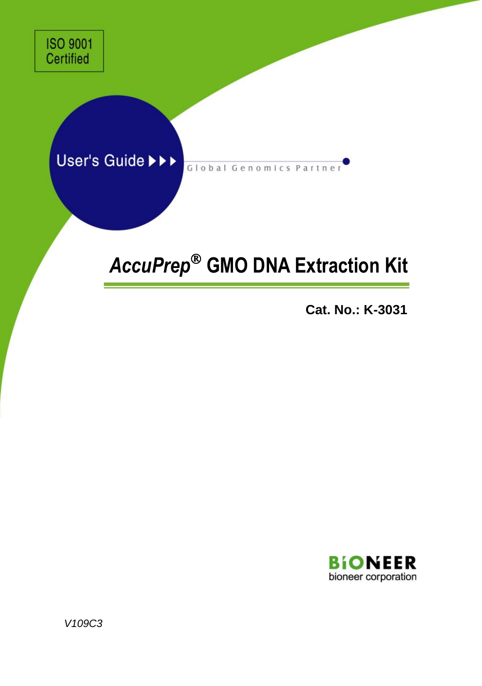# User's Guide >>>

Global Genomics Partner

# *AccuPrep* **GMO DNA Extraction Kit**

**Cat. No.: K-3031**



*V109C3*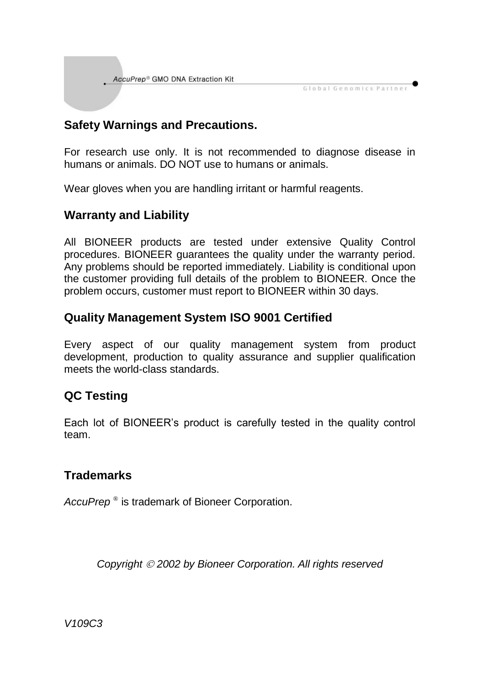AccuPrep® GMO DNA Extraction Kit

#### **Safety Warnings and Precautions.**

For research use only. It is not recommended to diagnose disease in humans or animals. DO NOT use to humans or animals.

Global Genomics Partner

Wear gloves when you are handling irritant or harmful reagents.

#### **Warranty and Liability**

All BIONEER products are tested under extensive Quality Control procedures. BIONEER guarantees the quality under the warranty period. Any problems should be reported immediately. Liability is conditional upon the customer providing full details of the problem to BIONEER. Once the problem occurs, customer must report to BIONEER within 30 days.

#### **Quality Management System ISO 9001 Certified**

Every aspect of our quality management system from product development, production to quality assurance and supplier qualification meets the world-class standards.

#### **QC Testing**

Each lot of BIONEER's product is carefully tested in the quality control team.

#### **Trademarks**

*AccuPrep* ® is trademark of Bioneer Corporation.

*Copyright 2002 by Bioneer Corporation. All rights reserved*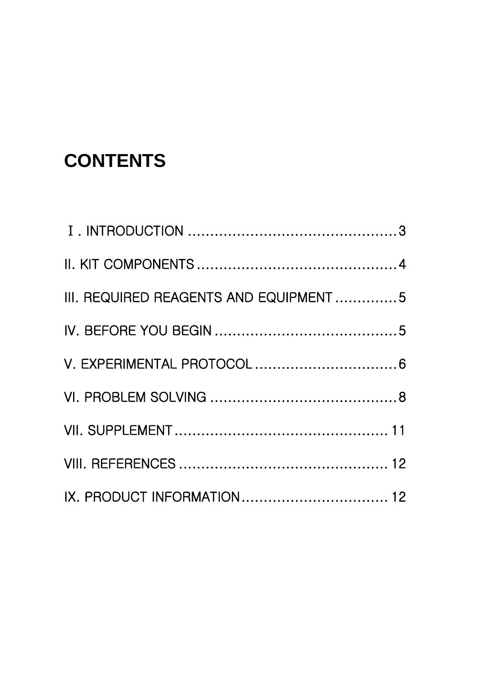# **CONTENTS**

| III. REQUIRED REAGENTS AND EQUIPMENT5 |  |
|---------------------------------------|--|
|                                       |  |
|                                       |  |
|                                       |  |
|                                       |  |
|                                       |  |
|                                       |  |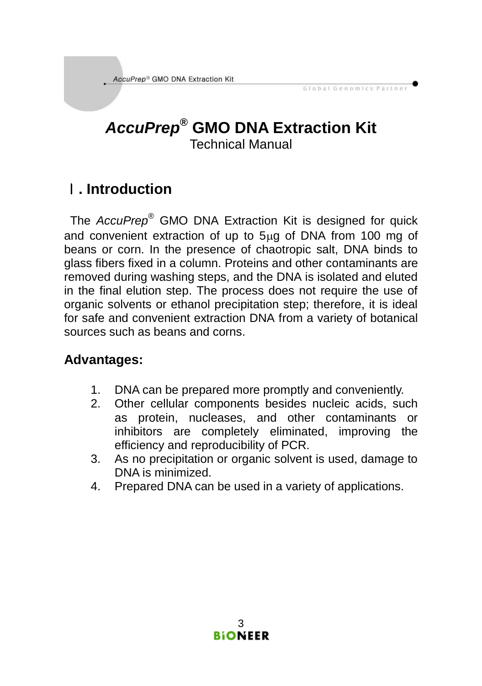# *AccuPrep***® GMO DNA Extraction Kit** Technical Manual

Global Genomics Partner

# Ⅰ**. Introduction**

The *AccuPrep*® GMO DNA Extraction Kit is designed for quick and convenient extraction of up to 5ug of DNA from 100 mg of beans or corn. In the presence of chaotropic salt, DNA binds to glass fibers fixed in a column. Proteins and other contaminants are removed during washing steps, and the DNA is isolated and eluted in the final elution step. The process does not require the use of organic solvents or ethanol precipitation step; therefore, it is ideal for safe and convenient extraction DNA from a variety of botanical sources such as beans and corns.

#### **Advantages:**

- 1. DNA can be prepared more promptly and conveniently.
- 2. Other cellular components besides nucleic acids, such as protein, nucleases, and other contaminants or inhibitors are completely eliminated, improving the efficiency and reproducibility of PCR.
- 3. As no precipitation or organic solvent is used, damage to DNA is minimized.
- 4. Prepared DNA can be used in a variety of applications.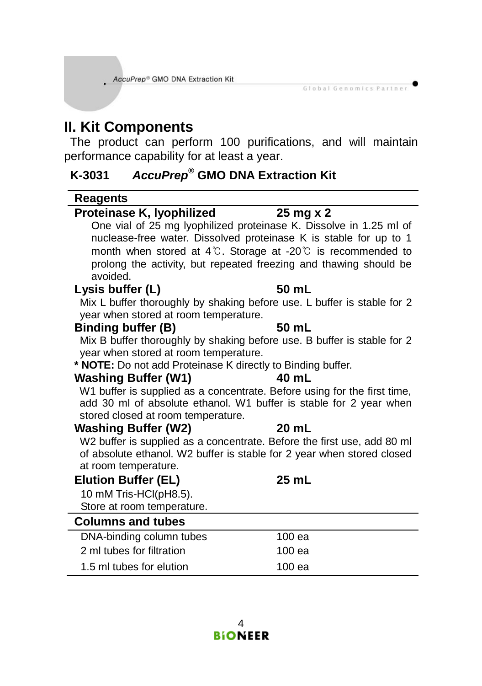AccuPrep® GMO DNA Extraction Kit

# **II. Kit Components**

The product can perform 100 purifications, and will maintain performance capability for at least a year.

Global Genomics Partner

#### **K-3031** *AccuPrep***® GMO DNA Extraction Kit**

#### **Reagents**

#### **Proteinase K, lyophilized 25 mg x 2** One vial of 25 mg lyophilized proteinase K. Dissolve in 1.25 ml of nuclease-free water. Dissolved proteinase K is stable for up to 1 month when stored at 4℃. Storage at -20℃ is recommended to prolong the activity, but repeated freezing and thawing should be avoided. **Lysis buffer (L) 50 mL** Mix L buffer thoroughly by shaking before use. L buffer is stable for 2 year when stored at room temperature. **Binding buffer (B) 50 mL** Mix B buffer thoroughly by shaking before use. B buffer is stable for 2 year when stored at room temperature. **\* NOTE:** Do not add Proteinase K directly to Binding buffer. **Washing Buffer (W1) 40 mL** W1 buffer is supplied as a concentrate. Before using for the first time, add 30 ml of absolute ethanol. W1 buffer is stable for 2 year when stored closed at room temperature. **Washing Buffer (W2) 20 mL** W2 buffer is supplied as a concentrate. Before the first use, add 80 ml of absolute ethanol. W2 buffer is stable for 2 year when stored closed at room temperature.

| <b>Elution Buffer (EL)</b> | 25 mL |
|----------------------------|-------|
| 10 mM Tris-HCl(pH8.5).     |       |
| Store at room temperature. |       |
| <b>Columns and tubes</b>   |       |
|                            |       |

| DNA-binding column tubes  | 100 ea   |
|---------------------------|----------|
| 2 ml tubes for filtration | 100 ea   |
| 1.5 ml tubes for elution  | $100$ ea |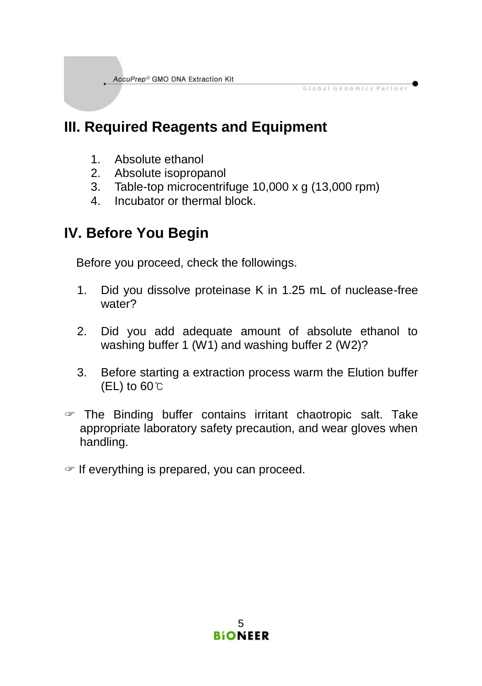# **III. Required Reagents and Equipment**

- 1. Absolute ethanol
- 2. Absolute isopropanol
- 3. Table-top microcentrifuge 10,000 x g (13,000 rpm)

Global Genomics Partner

4. Incubator or thermal block.

# **IV. Before You Begin**

Before you proceed, check the followings.

- 1. Did you dissolve proteinase K in 1.25 mL of nuclease-free water?
- 2. Did you add adequate amount of absolute ethanol to washing buffer 1 (W1) and washing buffer 2 (W2)?
- 3. Before starting a extraction process warm the Elution buffer (EL) to 60℃
- $\mathcal F$  The Binding buffer contains irritant chaotropic salt. Take appropriate laboratory safety precaution, and wear gloves when handling.
- $\in$  If everything is prepared, you can proceed.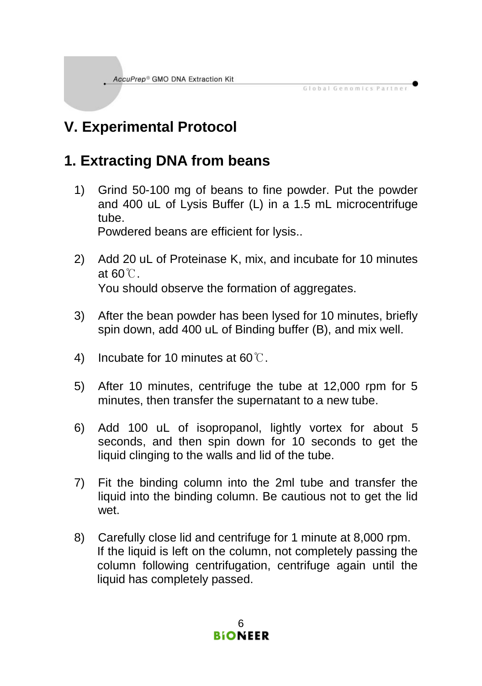# **V. Experimental Protocol**

# **1. Extracting DNA from beans**

1) Grind 50-100 mg of beans to fine powder. Put the powder and 400 uL of Lysis Buffer (L) in a 1.5 mL microcentrifuge tube.

Global Genomics Partner

Powdered beans are efficient for lysis..

- 2) Add 20 uL of Proteinase K, mix, and incubate for 10 minutes at 60℃. You should observe the formation of aggregates.
- 3) After the bean powder has been lysed for 10 minutes, briefly spin down, add 400 uL of Binding buffer (B), and mix well.
- 4) Incubate for 10 minutes at 60℃.
- 5) After 10 minutes, centrifuge the tube at 12,000 rpm for 5 minutes, then transfer the supernatant to a new tube.
- 6) Add 100 uL of isopropanol, lightly vortex for about 5 seconds, and then spin down for 10 seconds to get the liquid clinging to the walls and lid of the tube.
- 7) Fit the binding column into the 2ml tube and transfer the liquid into the binding column. Be cautious not to get the lid wet.
- 8) Carefully close lid and centrifuge for 1 minute at 8,000 rpm. If the liquid is left on the column, not completely passing the column following centrifugation, centrifuge again until the liquid has completely passed.

6 **BIONEER**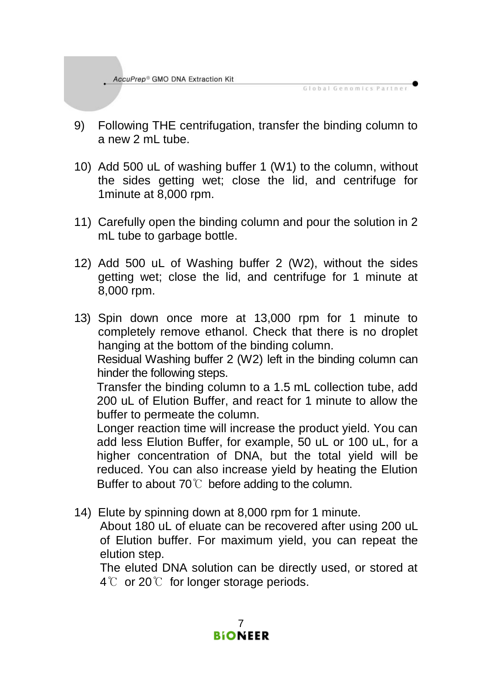9) Following THE centrifugation, transfer the binding column to a new 2 mL tube.

Global Genomics Partner

- 10) Add 500 uL of washing buffer 1 (W1) to the column, without the sides getting wet; close the lid, and centrifuge for 1minute at 8,000 rpm.
- 11) Carefully open the binding column and pour the solution in 2 mL tube to garbage bottle.
- 12) Add 500 uL of Washing buffer 2 (W2), without the sides getting wet; close the lid, and centrifuge for 1 minute at 8,000 rpm.
- 13) Spin down once more at 13,000 rpm for 1 minute to completely remove ethanol. Check that there is no droplet hanging at the bottom of the binding column.

Residual Washing buffer 2 (W2) left in the binding column can hinder the following steps.

Transfer the binding column to a 1.5 mL collection tube, add 200 uL of Elution Buffer, and react for 1 minute to allow the buffer to permeate the column.

Longer reaction time will increase the product yield. You can add less Elution Buffer, for example, 50 uL or 100 uL, for a higher concentration of DNA, but the total yield will be reduced. You can also increase yield by heating the Elution Buffer to about 70℃ before adding to the column.

14) Elute by spinning down at 8,000 rpm for 1 minute.

About 180 uL of eluate can be recovered after using 200 uL of Elution buffer. For maximum yield, you can repeat the elution step.

The eluted DNA solution can be directly used, or stored at 4℃ or 20℃ for longer storage periods.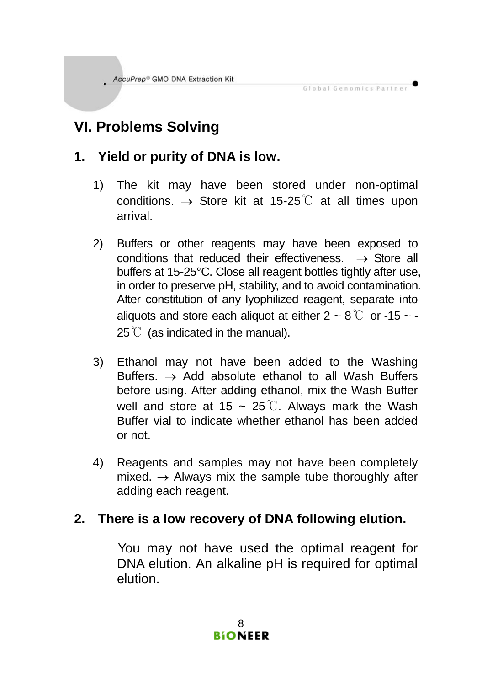# **VI. Problems Solving**

#### **1. Yield or purity of DNA is low.**

1) The kit may have been stored under non-optimal conditions.  $\rightarrow$  Store kit at 15-25℃ at all times upon arrival.

Global Genomics Partner

- 2) Buffers or other reagents may have been exposed to conditions that reduced their effectiveness.  $\rightarrow$  Store all buffers at 15-25°C. Close all reagent bottles tightly after use, in order to preserve pH, stability, and to avoid contamination. After constitution of any lyophilized reagent, separate into aliquots and store each aliquot at either  $2 \sim 8 \degree$  or -15  $\sim$  - $25^{\circ}$  (as indicated in the manual).
- 3) Ethanol may not have been added to the Washing Buffers.  $\rightarrow$  Add absolute ethanol to all Wash Buffers before using. After adding ethanol, mix the Wash Buffer well and store at 15 ~ 25 ℃. Always mark the Wash Buffer vial to indicate whether ethanol has been added or not.
- 4) Reagents and samples may not have been completely mixed.  $\rightarrow$  Always mix the sample tube thoroughly after adding each reagent.

#### **2. There is a low recovery of DNA following elution.**

 You may not have used the optimal reagent for DNA elution. An alkaline pH is required for optimal elution.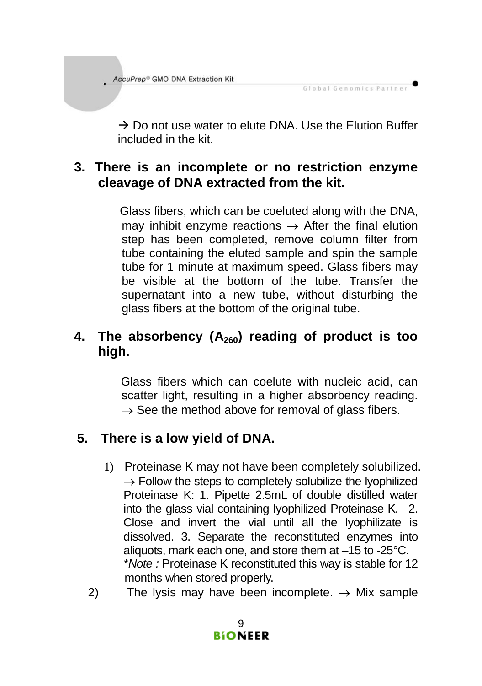$\rightarrow$  Do not use water to elute DNA. Use the Elution Buffer included in the kit.

Global Genomics Partner

#### **3. There is an incomplete or no restriction enzyme cleavage of DNA extracted from the kit.**

Glass fibers, which can be coeluted along with the DNA, may inhibit enzyme reactions  $\rightarrow$  After the final elution step has been completed, remove column filter from tube containing the eluted sample and spin the sample tube for 1 minute at maximum speed. Glass fibers may be visible at the bottom of the tube. Transfer the supernatant into a new tube, without disturbing the glass fibers at the bottom of the original tube.

#### **4. The absorbency (A260) reading of product is too high.**

Glass fibers which can coelute with nucleic acid, can scatter light, resulting in a higher absorbency reading.  $\rightarrow$  See the method above for removal of glass fibers.

### **5. There is a low yield of DNA.**

- 1) Proteinase K may not have been completely solubilized.  $\rightarrow$  Follow the steps to completely solubilize the lyophilized Proteinase K: 1. Pipette 2.5mL of double distilled water into the glass vial containing lyophilized Proteinase K. 2. Close and invert the vial until all the lyophilizate is dissolved. 3. Separate the reconstituted enzymes into aliquots, mark each one, and store them at –15 to -25°C. \**Note :* Proteinase K reconstituted this way is stable for 12 months when stored properly.
- 2) The lysis may have been incomplete.  $\rightarrow$  Mix sample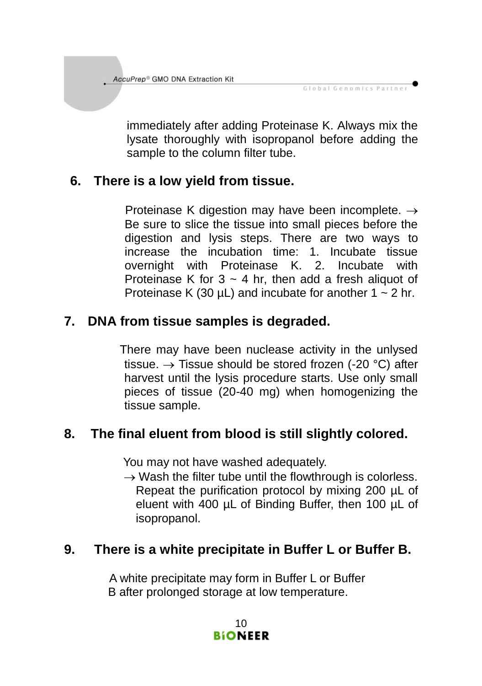immediately after adding Proteinase K. Always mix the lysate thoroughly with isopropanol before adding the sample to the column filter tube.

Global Genomics Partner

#### **6. There is a low yield from tissue.**

Proteinase K digestion may have been incomplete.  $\rightarrow$ Be sure to slice the tissue into small pieces before the digestion and lysis steps. There are two ways to increase the incubation time: 1. Incubate tissue overnight with Proteinase K. 2. Incubate with Proteinase K for  $3 \sim 4$  hr, then add a fresh aliquot of Proteinase K (30  $\mu$ L) and incubate for another 1  $\sim$  2 hr.

### **7. DNA from tissue samples is degraded.**

There may have been nuclease activity in the unlysed tissue.  $\rightarrow$  Tissue should be stored frozen (-20 °C) after harvest until the lysis procedure starts. Use only small pieces of tissue (20-40 mg) when homogenizing the tissue sample.

### **8. The final eluent from blood is still slightly colored.**

You may not have washed adequately.

 $\rightarrow$  Wash the filter tube until the flowthrough is colorless. Repeat the purification protocol by mixing 200 µL of eluent with 400 µL of Binding Buffer, then 100 µL of isopropanol.

#### **9. There is a white precipitate in Buffer L or Buffer B.**

A white precipitate may form in Buffer L or Buffer B after prolonged storage at low temperature.

> 10 **BIONEER**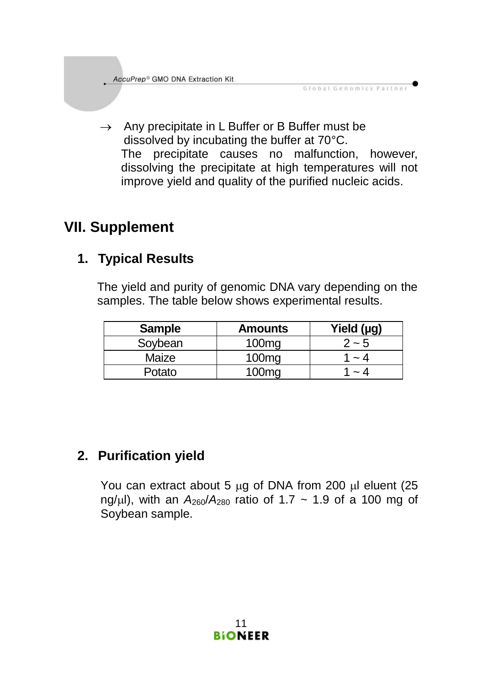$\rightarrow$  Any precipitate in L Buffer or B Buffer must be dissolved by incubating the buffer at 70°C. The precipitate causes no malfunction, however, dissolving the precipitate at high temperatures will not improve yield and quality of the purified nucleic acids.

Global Genomics Partner

# **VII. Supplement**

### **1. Typical Results**

The yield and purity of genomic DNA vary depending on the samples. The table below shows experimental results.

| <b>Sample</b> | <b>Amounts</b>    | Yield (µg) |
|---------------|-------------------|------------|
| Sovbean       | 100 <sub>ma</sub> | $2 - 5$    |
| Maize         | 100 <sub>ma</sub> | - 4        |
| Potato        | 100 <sub>ma</sub> | ~ 4        |

## **2. Purification yield**

You can extract about 5  $\mu$ g of DNA from 200  $\mu$ l eluent (25 ng/ul), with an  $A_{260}/A_{280}$  ratio of 1.7 ~ 1.9 of a 100 mg of Soybean sample.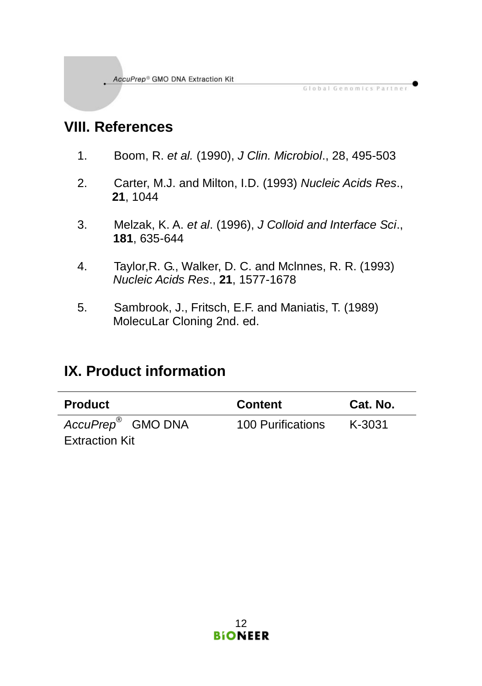# **VIII. References**

1. Boom, R. *et al.* (1990), *J Clin. Microbiol*., 28, 495-503

Global Genomics Partner

- 2. Carter, M.J. and Milton, I.D. (1993) *Nucleic Acids Res*., **21**, 1044
- 3. Melzak, K. A. *et al*. (1996), *J Colloid and Interface Sci*., **181**, 635-644
- 4. Taylor,R. G., Walker, D. C. and Mclnnes, R. R. (1993) *Nucleic Acids Res*., **21**, 1577-1678
- 5. Sambrook, J., Fritsch, E.F. and Maniatis, T. (1989) MolecuLar Cloning 2nd. ed.

# **IX. Product information**

| Product                                         | <b>Content</b>    | Cat. No. |
|-------------------------------------------------|-------------------|----------|
| AccuPrep <sup>®</sup> GMO DNA<br>Extraction Kit | 100 Purifications | K-3031   |